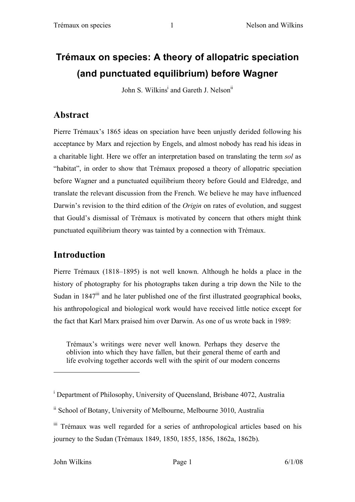# **Trémaux on species: A theory of allopatric speciation (and punctuated equilibrium) before Wagner**

John S. Wilkins<sup>i</sup> and Gareth J. Nelson<sup>ii</sup>

### **Abstract**

Pierre Trémaux's 1865 ideas on speciation have been unjustly derided following his acceptance by Marx and rejection by Engels, and almost nobody has read his ideas in a charitable light. Here we offer an interpretation based on translating the term *sol* as "habitat", in order to show that Trémaux proposed a theory of allopatric speciation before Wagner and a punctuated equilibrium theory before Gould and Eldredge, and translate the relevant discussion from the French. We believe he may have influenced Darwin's revision to the third edition of the *Origin* on rates of evolution, and suggest that Gould's dismissal of Trémaux is motivated by concern that others might think punctuated equilibrium theory was tainted by a connection with Trémaux.

## **Introduction**

Pierre Trémaux (1818–1895) is not well known. Although he holds a place in the history of photography for his photographs taken during a trip down the Nile to the Sudan in  $1847<sup>iii</sup>$  and he later published one of the first illustrated geographical books, his anthropological and biological work would have received little notice except for the fact that Karl Marx praised him over Darwin. As one of us wrote back in 1989:

Trémaux's writings were never well known. Perhaps they deserve the oblivion into which they have fallen, but their general theme of earth and life evolving together accords well with the spirit of our modern concerns

<sup>&</sup>lt;sup>i</sup> Department of Philosophy, University of Queensland, Brisbane 4072, Australia

ii School of Botany, University of Melbourne, Melbourne 3010, Australia

iii Trémaux was well regarded for a series of anthropological articles based on his journey to the Sudan (Trémaux 1849, 1850, 1855, 1856, 1862a, 1862b).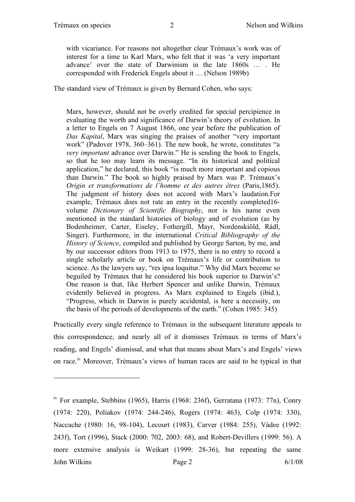$\overline{a}$ 

with vicariance. For reasons not altogether clear Trémaux's work was of interest for a time to Karl Marx, who felt that it was 'a very important advance' over the state of Darwinism in the late 1860s … . He corresponded with Frederick Engels about it … (Nelson 1989b)

The standard view of Trémaux is given by Bernard Cohen, who says:

Marx, however, should not be overly credited for special percipience in evaluating the worth and significance of Darwin's theory of evolution. In a letter to Engels on 7 August 1866, one year before the publication of *Das Kapital*, Marx was singing the praises of another "very important work" (Padover 1978, 360–361). The new book, he wrote, constitutes "a *very important* advance over Darwin." He is sending the book to Engels, so that he too may learn its message. "In its historical and political application," he declared, this book "is much more important and copious than Darwin." The book so highly praised by Marx was P. Trémaux's *Origin et transformations de l'homme et des autres étres* (Paris,1865). The judgment of history does not accord with Marx's laudation.For example, Trémaux does not rate an entry in the recently completed16 volume *Dictionary of Scientific Biography*, nor is his name even mentioned in the standard histories of biology and of evolution (as by Bodenheimer, Carter, Eiseley, Fothergill, Mayr, Nordenskiöld, Rádl, Singer). Furthermore, in the international *Critical Bibliography of the History of Science*, compiled and published by George Sarton, by me, and by our successor editors from 1913 to 1975, there is no entry to record a single scholarly article or book on Trémaux's life or contribution to science. As the lawyers say, "res ipsa loquitur." Why did Marx become so beguiled by Trémaux that he considered his book superior to Darwin's? One reason is that, like Herbert Spencer and unlike Darwin, Trémaux evidently believed in progress. As Marx explained to Engels (ibid.), "Progress, which in Darwin is purely accidental, is here a necessity, on the basis of the periods of developments of the earth." (Cohen 1985: 345)

Practically every single reference to Trémaux in the subsequent literature appeals to this correspondence, and nearly all of it dismisses Trémaux in terms of Marx's reading, and Engels' dismissal, and what that means about Marx's and Engels' views on race.iv Moreover, Trémaux's views of human races are said to be typical in that

John Wilkins Page 2 6/1/08 iv For example, Stebbins (1965), Harris (1968: 236f), Gerratana (1973: 77n), Conry (1974: 220), Poliakov (1974: 244-246), Rogers (1974: 463), Colp (1974: 330), Naccache (1980: 16, 98-104), Lecourt (1983), Carver (1984: 255), Vádee (1992: 243f), Tort (1996), Stack (2000: 702, 2003: 68), and Robert-Devillers (1999: 56). A more extensive analysis is Weikart (1999: 28-36), but repeating the same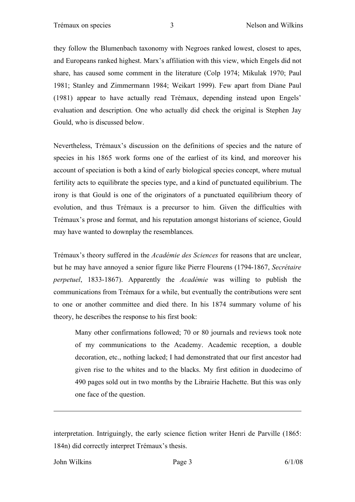they follow the Blumenbach taxonomy with Negroes ranked lowest, closest to apes, and Europeans ranked highest. Marx's affiliation with this view, which Engels did not share, has caused some comment in the literature (Colp 1974; Mikulak 1970; Paul 1981; Stanley and Zimmermann 1984; Weikart 1999). Few apart from Diane Paul (1981) appear to have actually read Trémaux, depending instead upon Engels' evaluation and description. One who actually did check the original is Stephen Jay Gould, who is discussed below.

Nevertheless, Trémaux's discussion on the definitions of species and the nature of species in his 1865 work forms one of the earliest of its kind, and moreover his account of speciation is both a kind of early biological species concept, where mutual fertility acts to equilibrate the species type, and a kind of punctuated equilibrium. The irony is that Gould is one of the originators of a punctuated equilibrium theory of evolution, and thus Trémaux is a precursor to him. Given the difficulties with Trémaux's prose and format, and his reputation amongst historians of science, Gould may have wanted to downplay the resemblances.

Trémaux's theory suffered in the *Académie des Sciences* for reasons that are unclear, but he may have annoyed a senior figure like Pierre Flourens (1794-1867, *Secrétaire perpetuel*, 1833-1867). Apparently the *Académie* was willing to publish the communications from Trémaux for a while, but eventually the contributions were sent to one or another committee and died there. In his 1874 summary volume of his theory, he describes the response to his first book:

Many other confirmations followed; 70 or 80 journals and reviews took note of my communications to the Academy. Academic reception, a double decoration, etc., nothing lacked; I had demonstrated that our first ancestor had given rise to the whites and to the blacks. My first edition in duodecimo of 490 pages sold out in two months by the Librairie Hachette. But this was only one face of the question.

interpretation. Intriguingly, the early science fiction writer Henri de Parville (1865: 184n) did correctly interpret Trémaux's thesis.

John Wilkins Page 3 6/1/08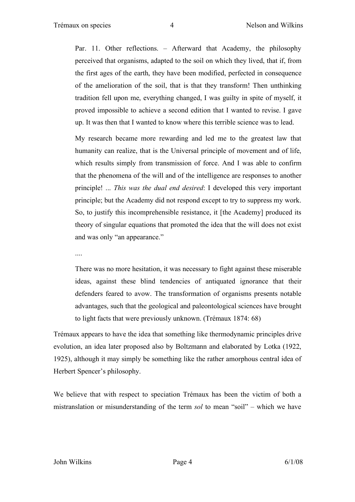Par. 11. Other reflections. – Afterward that Academy, the philosophy perceived that organisms, adapted to the soil on which they lived, that if, from the first ages of the earth, they have been modified, perfected in consequence of the amelioration of the soil, that is that they transform! Then unthinking tradition fell upon me, everything changed, I was guilty in spite of myself, it proved impossible to achieve a second edition that I wanted to revise. I gave up. It was then that I wanted to know where this terrible science was to lead.

My research became more rewarding and led me to the greatest law that humanity can realize, that is the Universal principle of movement and of life, which results simply from transmission of force. And I was able to confirm that the phenomena of the will and of the intelligence are responses to another principle! ... *This was the dual end desired*: I developed this very important principle; but the Academy did not respond except to try to suppress my work. So, to justify this incomprehensible resistance, it [the Academy] produced its theory of singular equations that promoted the idea that the will does not exist and was only "an appearance."

....

There was no more hesitation, it was necessary to fight against these miserable ideas, against these blind tendencies of antiquated ignorance that their defenders feared to avow. The transformation of organisms presents notable advantages, such that the geological and paleontological sciences have brought to light facts that were previously unknown. (Trémaux 1874: 68)

Trémaux appears to have the idea that something like thermodynamic principles drive evolution, an idea later proposed also by Boltzmann and elaborated by Lotka (1922, 1925), although it may simply be something like the rather amorphous central idea of Herbert Spencer's philosophy.

We believe that with respect to speciation Trémaux has been the victim of both a mistranslation or misunderstanding of the term *sol* to mean "soil" – which we have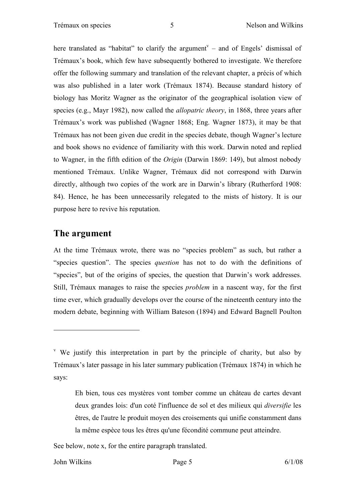here translated as "habitat" to clarify the argument" – and of Engels' dismissal of Trémaux's book, which few have subsequently bothered to investigate. We therefore offer the following summary and translation of the relevant chapter, a précis of which was also published in a later work (Trémaux 1874). Because standard history of biology has Moritz Wagner as the originator of the geographical isolation view of species (e.g., Mayr 1982), now called the *allopatric theory*, in 1868, three years after Trémaux's work was published (Wagner 1868; Eng. Wagner 1873), it may be that Trémaux has not been given due credit in the species debate, though Wagner's lecture and book shows no evidence of familiarity with this work. Darwin noted and replied to Wagner, in the fifth edition of the *Origin* (Darwin 1869: 149), but almost nobody mentioned Trémaux. Unlike Wagner, Trémaux did not correspond with Darwin directly, although two copies of the work are in Darwin's library (Rutherford 1908: 84). Hence, he has been unnecessarily relegated to the mists of history. It is our purpose here to revive his reputation.

#### **The argument**

At the time Trémaux wrote, there was no "species problem" as such, but rather a "species question". The species *question* has not to do with the definitions of "species", but of the origins of species, the question that Darwin's work addresses. Still, Trémaux manages to raise the species *problem* in a nascent way, for the first time ever, which gradually develops over the course of the nineteenth century into the modern debate, beginning with William Bateson (1894) and Edward Bagnell Poulton

See below, note x, for the entire paragraph translated.

John Wilkins Page 5 6/1/08

 $\mathbf v$  We justify this interpretation in part by the principle of charity, but also by Trémaux's later passage in his later summary publication (Trémaux 1874) in which he says:

Eh bien, tous ces mystères vont tomber comme un château de cartes devant deux grandes lois: d'un coté l'influence de sol et des milieux qui *diversifie* les êtres, de l'autre le produit moyen des croisements qui unifie constamment dans la même espèce tous les êtres qu'une fécondité commune peut atteindre.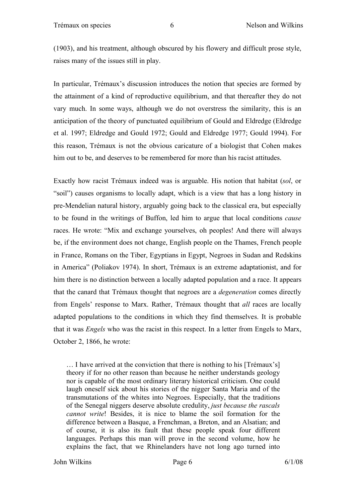(1903), and his treatment, although obscured by his flowery and difficult prose style, raises many of the issues still in play.

In particular, Trémaux's discussion introduces the notion that species are formed by the attainment of a kind of reproductive equilibrium, and that thereafter they do not vary much. In some ways, although we do not overstress the similarity, this is an anticipation of the theory of punctuated equilibrium of Gould and Eldredge (Eldredge et al. 1997; Eldredge and Gould 1972; Gould and Eldredge 1977; Gould 1994). For this reason, Trémaux is not the obvious caricature of a biologist that Cohen makes him out to be, and deserves to be remembered for more than his racist attitudes.

Exactly how racist Trémaux indeed was is arguable. His notion that habitat (*sol*, or "soil") causes organisms to locally adapt, which is a view that has a long history in pre-Mendelian natural history, arguably going back to the classical era, but especially to be found in the writings of Buffon, led him to argue that local conditions *cause* races. He wrote: "Mix and exchange yourselves, oh peoples! And there will always be, if the environment does not change, English people on the Thames, French people in France, Romans on the Tiber, Egyptians in Egypt, Negroes in Sudan and Redskins in America" (Poliakov 1974). In short, Trémaux is an extreme adaptationist, and for him there is no distinction between a locally adapted population and a race. It appears that the canard that Trémaux thought that negroes are a *degeneration* comes directly from Engels' response to Marx. Rather, Trémaux thought that *all* races are locally adapted populations to the conditions in which they find themselves. It is probable that it was *Engels* who was the racist in this respect. In a letter from Engels to Marx, October 2, 1866, he wrote:

… I have arrived at the conviction that there is nothing to his [Trémaux's] theory if for no other reason than because he neither understands geology nor is capable of the most ordinary literary historical criticism. One could laugh oneself sick about his stories of the nigger Santa Maria and of the transmutations of the whites into Negroes. Especially, that the traditions of the Senegal niggers deserve absolute credulity, *just because the rascals cannot write*! Besides, it is nice to blame the soil formation for the difference between a Basque, a Frenchman, a Breton, and an Alsatian; and of course, it is also its fault that these people speak four different languages. Perhaps this man will prove in the second volume, how he explains the fact, that we Rhinelanders have not long ago turned into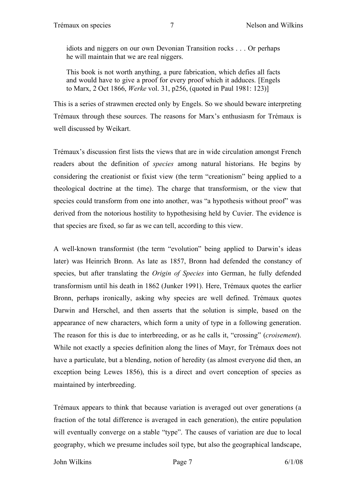idiots and niggers on our own Devonian Transition rocks . . . Or perhaps he will maintain that we are real niggers.

This book is not worth anything, a pure fabrication, which defies all facts and would have to give a proof for every proof which it adduces. [Engels to Marx, 2 Oct 1866, *Werke* vol. 31, p256, (quoted in Paul 1981: 123)]

This is a series of strawmen erected only by Engels. So we should beware interpreting Trémaux through these sources. The reasons for Marx's enthusiasm for Trémaux is well discussed by Weikart.

Trémaux's discussion first lists the views that are in wide circulation amongst French readers about the definition of *species* among natural historians. He begins by considering the creationist or fixist view (the term "creationism" being applied to a theological doctrine at the time). The charge that transformism, or the view that species could transform from one into another, was "a hypothesis without proof" was derived from the notorious hostility to hypothesising held by Cuvier. The evidence is that species are fixed, so far as we can tell, according to this view.

A well-known transformist (the term "evolution" being applied to Darwin's ideas later) was Heinrich Bronn. As late as 1857, Bronn had defended the constancy of species, but after translating the *Origin of Species* into German, he fully defended transformism until his death in 1862 (Junker 1991). Here, Trémaux quotes the earlier Bronn, perhaps ironically, asking why species are well defined. Trémaux quotes Darwin and Herschel, and then asserts that the solution is simple, based on the appearance of new characters, which form a unity of type in a following generation. The reason for this is due to interbreeding, or as he calls it, "crossing" (*croisement*). While not exactly a species definition along the lines of Mayr, for Trémaux does not have a particulate, but a blending, notion of heredity (as almost everyone did then, an exception being Lewes 1856), this is a direct and overt conception of species as maintained by interbreeding.

Trémaux appears to think that because variation is averaged out over generations (a fraction of the total difference is averaged in each generation), the entire population will eventually converge on a stable "type". The causes of variation are due to local geography, which we presume includes soil type, but also the geographical landscape,

John Wilkins Page 7 6/1/08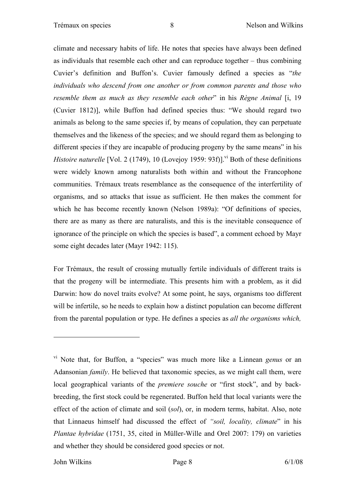climate and necessary habits of life. He notes that species have always been defined as individuals that resemble each other and can reproduce together – thus combining Cuvier's definition and Buffon's. Cuvier famously defined a species as "*the individuals who descend from one another or from common parents and those who resemble them as much as they resemble each other*" in his *Règne Animal* [i, 19 (Cuvier 1812)], while Buffon had defined species thus: "We should regard two animals as belong to the same species if, by means of copulation, they can perpetuate themselves and the likeness of the species; and we should regard them as belonging to different species if they are incapable of producing progeny by the same means" in his *Histoire naturelle* [Vol. 2 (1749), 10 (Lovejov 1959: 93f)].<sup>vi</sup> Both of these definitions were widely known among naturalists both within and without the Francophone communities. Trémaux treats resemblance as the consequence of the interfertility of organisms, and so attacks that issue as sufficient. He then makes the comment for which he has become recently known (Nelson 1989a): "Of definitions of species, there are as many as there are naturalists, and this is the inevitable consequence of ignorance of the principle on which the species is based", a comment echoed by Mayr some eight decades later (Mayr 1942: 115).

For Trémaux, the result of crossing mutually fertile individuals of different traits is that the progeny will be intermediate. This presents him with a problem, as it did Darwin: how do novel traits evolve? At some point, he says, organisms too different will be infertile, so he needs to explain how a distinct population can become different from the parental population or type. He defines a species as *all the organisms which,* 

John Wilkins Page 8 6/1/08

vi Note that, for Buffon, a "species" was much more like a Linnean *genus* or an Adansonian *family*. He believed that taxonomic species, as we might call them, were local geographical variants of the *premiere souche* or "first stock", and by backbreeding, the first stock could be regenerated. Buffon held that local variants were the effect of the action of climate and soil (*sol*), or, in modern terms, habitat. Also, note that Linnaeus himself had discussed the effect of *"soil, locality, climate*" in his *Plantae hybridae* (1751, 35, cited in Müller-Wille and Orel 2007: 179) on varieties and whether they should be considered good species or not.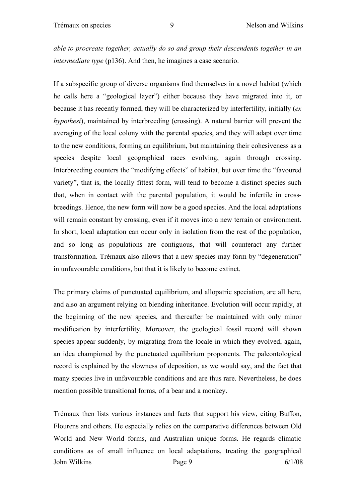*able to procreate together, actually do so and group their descendents together in an intermediate type* (p136). And then, he imagines a case scenario.

If a subspecific group of diverse organisms find themselves in a novel habitat (which he calls here a "geological layer") either because they have migrated into it, or because it has recently formed, they will be characterized by interfertility, initially (*ex hypothesi*), maintained by interbreeding (crossing). A natural barrier will prevent the averaging of the local colony with the parental species, and they will adapt over time to the new conditions, forming an equilibrium, but maintaining their cohesiveness as a species despite local geographical races evolving, again through crossing. Interbreeding counters the "modifying effects" of habitat, but over time the "favoured variety", that is, the locally fittest form, will tend to become a distinct species such that, when in contact with the parental population, it would be infertile in crossbreedings. Hence, the new form will now be a good species. And the local adaptations will remain constant by crossing, even if it moves into a new terrain or environment. In short, local adaptation can occur only in isolation from the rest of the population, and so long as populations are contiguous, that will counteract any further transformation. Trémaux also allows that a new species may form by "degeneration" in unfavourable conditions, but that it is likely to become extinct.

The primary claims of punctuated equilibrium, and allopatric speciation, are all here, and also an argument relying on blending inheritance. Evolution will occur rapidly, at the beginning of the new species, and thereafter be maintained with only minor modification by interfertility. Moreover, the geological fossil record will shown species appear suddenly, by migrating from the locale in which they evolved, again, an idea championed by the punctuated equilibrium proponents. The paleontological record is explained by the slowness of deposition, as we would say, and the fact that many species live in unfavourable conditions and are thus rare. Nevertheless, he does mention possible transitional forms, of a bear and a monkey.

John Wilkins Page 9 6/1/08 Trémaux then lists various instances and facts that support his view, citing Buffon, Flourens and others. He especially relies on the comparative differences between Old World and New World forms, and Australian unique forms. He regards climatic conditions as of small influence on local adaptations, treating the geographical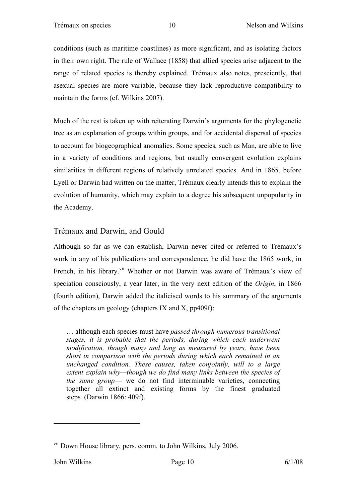conditions (such as maritime coastlines) as more significant, and as isolating factors in their own right. The rule of Wallace (1858) that allied species arise adjacent to the range of related species is thereby explained. Trémaux also notes, presciently, that asexual species are more variable, because they lack reproductive compatibility to maintain the forms (cf. Wilkins 2007).

Much of the rest is taken up with reiterating Darwin's arguments for the phylogenetic tree as an explanation of groups within groups, and for accidental dispersal of species to account for biogeographical anomalies. Some species, such as Man, are able to live in a variety of conditions and regions, but usually convergent evolution explains similarities in different regions of relatively unrelated species. And in 1865, before Lyell or Darwin had written on the matter, Trémaux clearly intends this to explain the evolution of humanity, which may explain to a degree his subsequent unpopularity in the Academy.

#### Trémaux and Darwin, and Gould

Although so far as we can establish, Darwin never cited or referred to Trémaux's work in any of his publications and correspondence, he did have the 1865 work, in French, in his library.<sup>vii</sup> Whether or not Darwin was aware of Trémaux's view of speciation consciously, a year later, in the very next edition of the *Origin*, in 1866 (fourth edition), Darwin added the italicised words to his summary of the arguments of the chapters on geology (chapters IX and X, pp409f):

… although each species must have *passed through numerous transitional stages, it is probable that the periods, during which each underwent modification, though many and long as measured by years, have been short in comparison with the periods during which each remained in an unchanged condition. These causes, taken conjointly, will to a large extent explain why—though we do find many links between the species of the same group*— we do not find interminable varieties, connecting together all extinct and existing forms by the finest graduated steps*.* (Darwin 1866: 409f).

vii Down House library, pers. comm. to John Wilkins, July 2006.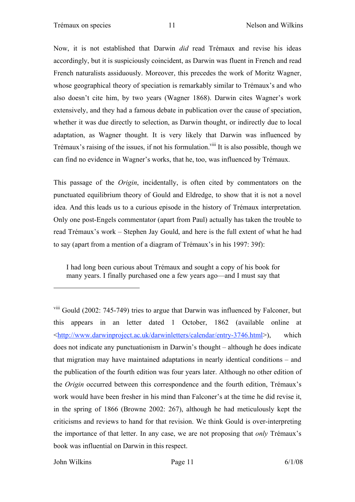Now, it is not established that Darwin *did* read Trémaux and revise his ideas accordingly, but it is suspiciously coincident, as Darwin was fluent in French and read French naturalists assiduously. Moreover, this precedes the work of Moritz Wagner, whose geographical theory of speciation is remarkably similar to Trémaux's and who also doesn't cite him, by two years (Wagner 1868). Darwin cites Wagner's work extensively, and they had a famous debate in publication over the cause of speciation, whether it was due directly to selection, as Darwin thought, or indirectly due to local adaptation, as Wagner thought. It is very likely that Darwin was influenced by Trémaux's raising of the issues, if not his formulation.<sup>viii</sup> It is also possible, though we can find no evidence in Wagner's works, that he, too, was influenced by Trémaux.

This passage of the *Origin*, incidentally, is often cited by commentators on the punctuated equilibrium theory of Gould and Eldredge, to show that it is not a novel idea. And this leads us to a curious episode in the history of Trémaux interpretation. Only one post-Engels commentator (apart from Paul) actually has taken the trouble to read Trémaux's work – Stephen Jay Gould, and here is the full extent of what he had to say (apart from a mention of a diagram of Trémaux's in his 1997: 39f):

I had long been curious about Trémaux and sought a copy of his book for many years. I finally purchased one a few years ago—and I must say that

John Wilkins Page 11 6/1/08

<sup>&</sup>lt;sup>viii</sup> Gould (2002: 745-749) tries to argue that Darwin was influenced by Falconer, but this appears in an letter dated 1 October, 1862 (available online at <http://www.darwinproject.ac.uk/darwinletters/calendar/entry-3746.html>), which does not indicate any punctuationism in Darwin's thought – although he does indicate that migration may have maintained adaptations in nearly identical conditions – and the publication of the fourth edition was four years later. Although no other edition of the *Origin* occurred between this correspondence and the fourth edition, Trémaux's work would have been fresher in his mind than Falconer's at the time he did revise it, in the spring of 1866 (Browne 2002: 267), although he had meticulously kept the criticisms and reviews to hand for that revision. We think Gould is over-interpreting the importance of that letter. In any case, we are not proposing that *only* Trémaux's book was influential on Darwin in this respect.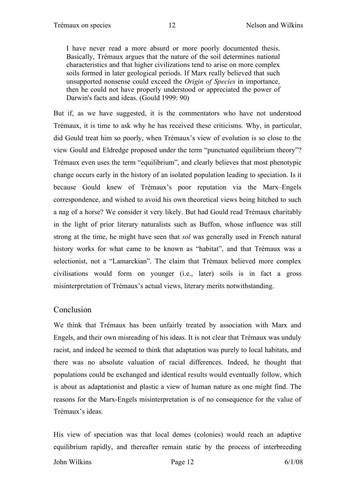I have never read a more absurd or more poorly documented thesis. Basically, Trémaux argues that the nature of the soil determines national characteristics and that higher civilizations tend to arise on more complex soils formed in later geological periods. If Marx really believed that such unsupported nonsense could exceed the *Origin of Species* in importance, then he could not have properly understood or appreciated the power of Darwin's facts and ideas. (Gould 1999: 90)

But if, as we have suggested, it is the commentators who have not understood Trémaux, it is time to ask why he has received these criticisms. Why, in particular, did Gould treat him so poorly, when Trémaux's view of evolution is so close to the view Gould and Eldredge proposed under the term "punctuated equilibrium theory"? Trémaux even uses the term "equilibrium", and clearly believes that most phenotypic change occurs early in the history of an isolated population leading to speciation. Is it because Gould knew of Trémaux's poor reputation via the Marx–Engels correspondence, and wished to avoid his own theoretical views being hitched to such a nag of a horse? We consider it very likely. But had Gould read Trémaux charitably in the light of prior literary naturalists such as Buffon, whose influence was still strong at the time, he might have seen that *sol* was generally used in French natural history works for what came to be known as "habitat", and that Trémaux was a selectionist, not a "Lamarckian". The claim that Trémaux believed more complex civilisations would form on younger (i.e., later) soils is in fact a gross misinterpretation of Trémaux's actual views, literary merits notwithstanding.

#### Conclusion

We think that Trémaux has been unfairly treated by association with Marx and Engels, and their own misreading of his ideas. It is not clear that Trémaux was unduly racist, and indeed he seemed to think that adaptation was purely to local habitats, and there was no absolute valuation of racial differences. Indeed, he thought that populations could be exchanged and identical results would eventually follow, which is about as adaptationist and plastic a view of human nature as one might find. The reasons for the Marx-Engels misinterpretation is of no consequence for the value of Trémaux's ideas.

His view of speciation was that local demes (colonies) would reach an adaptive equilibrium rapidly, and thereafter remain static by the process of interbreeding

John Wilkins Page 12 6/1/08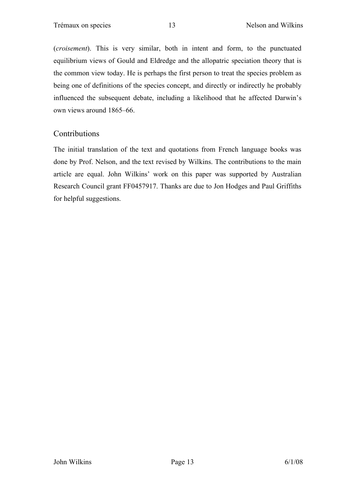(*croisement*). This is very similar, both in intent and form, to the punctuated equilibrium views of Gould and Eldredge and the allopatric speciation theory that is the common view today. He is perhaps the first person to treat the species problem as being one of definitions of the species concept, and directly or indirectly he probably influenced the subsequent debate, including a likelihood that he affected Darwin's own views around 1865–66.

#### **Contributions**

The initial translation of the text and quotations from French language books was done by Prof. Nelson, and the text revised by Wilkins. The contributions to the main article are equal. John Wilkins' work on this paper was supported by Australian Research Council grant FF0457917. Thanks are due to Jon Hodges and Paul Griffiths for helpful suggestions.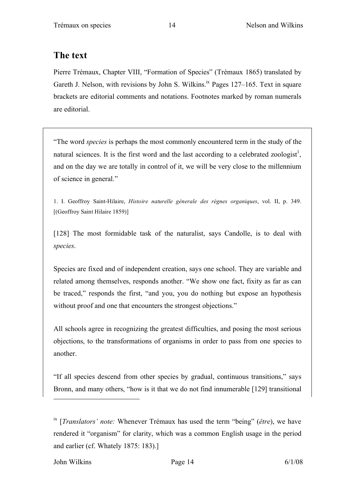### **The text**

Pierre Trémaux, Chapter VIII, "Formation of Species" (Trémaux 1865) translated by Gareth J. Nelson, with revisions by John S. Wilkins.<sup>ix</sup> Pages  $127-165$ . Text in square brackets are editorial comments and notations. Footnotes marked by roman numerals are editorial.

"The word *species* is perhaps the most commonly encountered term in the study of the natural sciences. It is the first word and the last according to a celebrated zoologist<sup>1</sup>, and on the day we are totally in control of it, we will be very close to the millennium of science in general."

1. I. Geoffroy Saint-Hilaire, *Histoire naturelle génerale des règnes organiques*, vol. II, p. 349. [(Geoffroy Saint Hilaire 1859)]

[128] The most formidable task of the naturalist, says Candolle, is to deal with *species*.

Species are fixed and of independent creation, says one school. They are variable and related among themselves, responds another. "We show one fact, fixity as far as can be traced," responds the first, "and you, you do nothing but expose an hypothesis without proof and one that encounters the strongest objections."

All schools agree in recognizing the greatest difficulties, and posing the most serious objections, to the transformations of organisms in order to pass from one species to another.

"If all species descend from other species by gradual, continuous transitions," says Bronn, and many others, "how is it that we do not find innumerable [129] transitional

John Wilkins Page 14 6/1/08

ix [*Translators' note:* Whenever Trémaux has used the term "being" (*être*), we have rendered it "organism" for clarity, which was a common English usage in the period and earlier (cf. Whately 1875: 183).]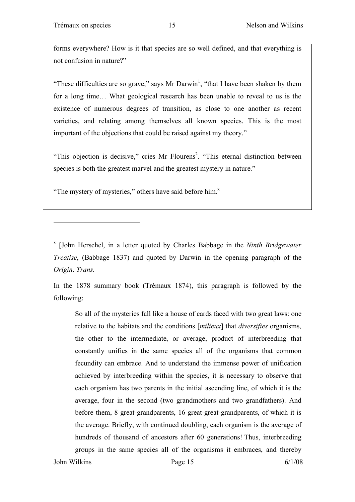forms everywhere? How is it that species are so well defined, and that everything is not confusion in nature?"

"These difficulties are so grave," says Mr Darwin<sup>1</sup>, "that I have been shaken by them for a long time… What geological research has been unable to reveal to us is the existence of numerous degrees of transition, as close to one another as recent varieties, and relating among themselves all known species. This is the most important of the objections that could be raised against my theory."

"This objection is decisive," cries Mr Flourens<sup>2</sup>. "This eternal distinction between species is both the greatest marvel and the greatest mystery in nature."

"The mystery of mysteries," others have said before him. $^x$ 

x [John Herschel, in a letter quoted by Charles Babbage in the *Ninth Bridgewater Treatise*, (Babbage 1837) and quoted by Darwin in the opening paragraph of the *Origin*. *Trans.*

In the 1878 summary book (Trémaux 1874), this paragraph is followed by the following:

So all of the mysteries fall like a house of cards faced with two great laws: one relative to the habitats and the conditions [*milieux*] that *diversifies* organisms, the other to the intermediate, or average, product of interbreeding that constantly unifies in the same species all of the organisms that common fecundity can embrace. And to understand the immense power of unification achieved by interbreeding within the species, it is necessary to observe that each organism has two parents in the initial ascending line, of which it is the average, four in the second (two grandmothers and two grandfathers). And before them, 8 great-grandparents, 16 great-great-grandparents, of which it is the average. Briefly, with continued doubling, each organism is the average of hundreds of thousand of ancestors after 60 generations! Thus, interbreeding groups in the same species all of the organisms it embraces, and thereby

John Wilkins Page 15 6/1/08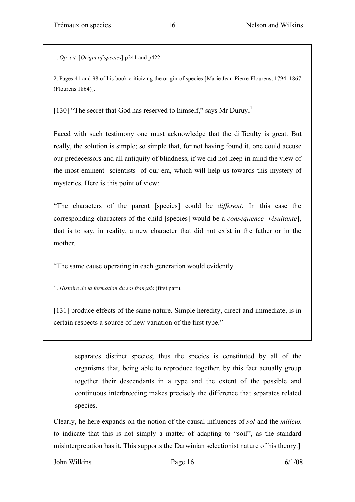1. *Op. cit.* [*Origin of species*] p241 and p422.

2. Pages 41 and 98 of his book criticizing the origin of species [Marie Jean Pierre Flourens, 1794–1867 (Flourens 1864)].

[130] "The secret that God has reserved to himself," says Mr Duruy.<sup>1</sup>

Faced with such testimony one must acknowledge that the difficulty is great. But really, the solution is simple; so simple that, for not having found it, one could accuse our predecessors and all antiquity of blindness, if we did not keep in mind the view of the most eminent [scientists] of our era, which will help us towards this mystery of mysteries. Here is this point of view:

"The characters of the parent [species] could be *different*. In this case the corresponding characters of the child [species] would be a *consequence* [*résultante*], that is to say, in reality, a new character that did not exist in the father or in the mother.

"The same cause operating in each generation would evidently

1. *Histoire de la formation du sol français* (first part).

[131] produce effects of the same nature. Simple heredity, direct and immediate, is in certain respects a source of new variation of the first type."

separates distinct species; thus the species is constituted by all of the organisms that, being able to reproduce together, by this fact actually group together their descendants in a type and the extent of the possible and continuous interbreeding makes precisely the difference that separates related species.

Clearly, he here expands on the notion of the causal influences of *sol* and the *milieux* to indicate that this is not simply a matter of adapting to "soil", as the standard misinterpretation has it. This supports the Darwinian selectionist nature of his theory.]

John Wilkins Page 16 6/1/08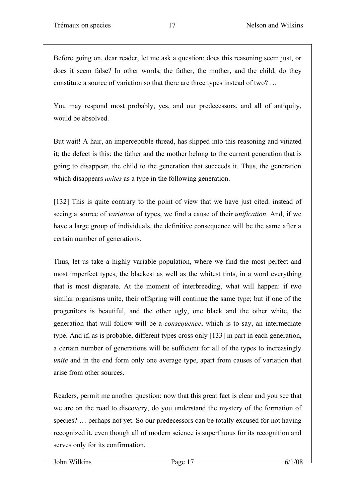Before going on, dear reader, let me ask a question: does this reasoning seem just, or does it seem false? In other words, the father, the mother, and the child, do they constitute a source of variation so that there are three types instead of two? …

You may respond most probably, yes, and our predecessors, and all of antiquity, would be absolved.

But wait! A hair, an imperceptible thread, has slipped into this reasoning and vitiated it; the defect is this: the father and the mother belong to the current generation that is going to disappear, the child to the generation that succeeds it. Thus, the generation which disappears *unites* as a type in the following generation.

[132] This is quite contrary to the point of view that we have just cited: instead of seeing a source of *variation* of types, we find a cause of their *unification*. And, if we have a large group of individuals, the definitive consequence will be the same after a certain number of generations.

Thus, let us take a highly variable population, where we find the most perfect and most imperfect types, the blackest as well as the whitest tints, in a word everything that is most disparate. At the moment of interbreeding, what will happen: if two similar organisms unite, their offspring will continue the same type; but if one of the progenitors is beautiful, and the other ugly, one black and the other white, the generation that will follow will be a *consequence*, which is to say, an intermediate type. And if, as is probable, different types cross only [133] in part in each generation, a certain number of generations will be sufficient for all of the types to increasingly *unite* and in the end form only one average type, apart from causes of variation that arise from other sources.

Readers, permit me another question: now that this great fact is clear and you see that we are on the road to discovery, do you understand the mystery of the formation of species? … perhaps not yet. So our predecessors can be totally excused for not having recognized it, even though all of modern science is superfluous for its recognition and serves only for its confirmation.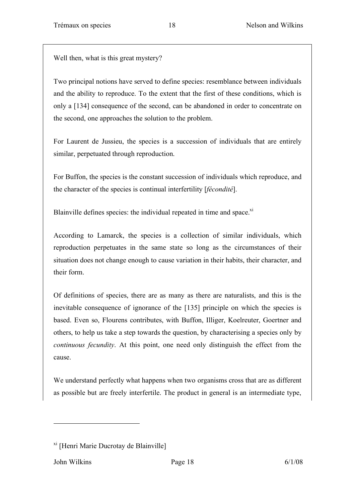Well then, what is this great mystery?

Two principal notions have served to define species: resemblance between individuals and the ability to reproduce. To the extent that the first of these conditions, which is only a [134] consequence of the second, can be abandoned in order to concentrate on the second, one approaches the solution to the problem.

For Laurent de Jussieu, the species is a succession of individuals that are entirely similar, perpetuated through reproduction.

For Buffon, the species is the constant succession of individuals which reproduce, and the character of the species is continual interfertility [*fécondité*].

Blainville defines species: the individual repeated in time and space.<sup>xi</sup>

According to Lamarck, the species is a collection of similar individuals, which reproduction perpetuates in the same state so long as the circumstances of their situation does not change enough to cause variation in their habits, their character, and their form.

Of definitions of species, there are as many as there are naturalists, and this is the inevitable consequence of ignorance of the [135] principle on which the species is based. Even so, Flourens contributes, with Buffon, Illiger, Koelreuter, Goertner and others, to help us take a step towards the question, by characterising a species only by *continuous fecundity*. At this point, one need only distinguish the effect from the cause.

We understand perfectly what happens when two organisms cross that are as different as possible but are freely interfertile. The product in general is an intermediate type,

John Wilkins Page 18 6/1/08

xi [Henri Marie Ducrotay de Blainville]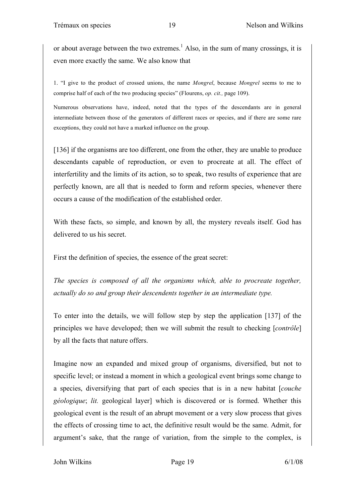or about average between the two extremes.<sup>1</sup> Also, in the sum of many crossings, it is even more exactly the same. We also know that

1. "I give to the product of crossed unions, the name *Mongrel*, because *Mongrel* seems to me to comprise half of each of the two producing species" (Flourens, *op. cit.,* page 109).

Numerous observations have, indeed, noted that the types of the descendants are in general intermediate between those of the generators of different races or species, and if there are some rare exceptions, they could not have a marked influence on the group.

[136] if the organisms are too different, one from the other, they are unable to produce descendants capable of reproduction, or even to procreate at all. The effect of interfertility and the limits of its action, so to speak, two results of experience that are perfectly known, are all that is needed to form and reform species, whenever there occurs a cause of the modification of the established order.

With these facts, so simple, and known by all, the mystery reveals itself. God has delivered to us his secret.

First the definition of species, the essence of the great secret:

*The species is composed of all the organisms which, able to procreate together, actually do so and group their descendents together in an intermediate type.*

To enter into the details, we will follow step by step the application [137] of the principles we have developed; then we will submit the result to checking [*contrôle*] by all the facts that nature offers.

Imagine now an expanded and mixed group of organisms, diversified, but not to specific level; or instead a moment in which a geological event brings some change to a species, diversifying that part of each species that is in a new habitat [*couche géologique*; *lit.* geological layer] which is discovered or is formed. Whether this geological event is the result of an abrupt movement or a very slow process that gives the effects of crossing time to act, the definitive result would be the same. Admit, for argument's sake, that the range of variation, from the simple to the complex, is

John Wilkins Page 19 6/1/08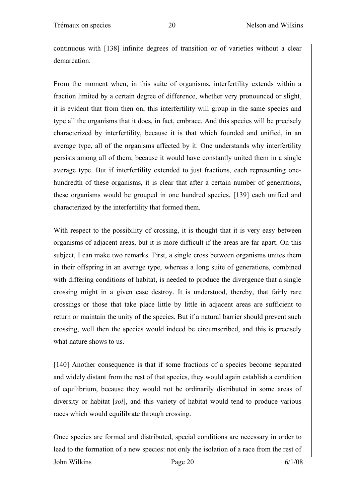continuous with [138] infinite degrees of transition or of varieties without a clear demarcation.

From the moment when, in this suite of organisms, interfertility extends within a fraction limited by a certain degree of difference, whether very pronounced or slight, it is evident that from then on, this interfertility will group in the same species and type all the organisms that it does, in fact, embrace. And this species will be precisely characterized by interfertility, because it is that which founded and unified, in an average type, all of the organisms affected by it. One understands why interfertility persists among all of them, because it would have constantly united them in a single average type. But if interfertility extended to just fractions, each representing onehundredth of these organisms, it is clear that after a certain number of generations, these organisms would be grouped in one hundred species, [139] each unified and characterized by the interfertility that formed them.

With respect to the possibility of crossing, it is thought that it is very easy between organisms of adjacent areas, but it is more difficult if the areas are far apart. On this subject, I can make two remarks. First, a single cross between organisms unites them in their offspring in an average type, whereas a long suite of generations, combined with differing conditions of habitat, is needed to produce the divergence that a single crossing might in a given case destroy. It is understood, thereby, that fairly rare crossings or those that take place little by little in adjacent areas are sufficient to return or maintain the unity of the species. But if a natural barrier should prevent such crossing, well then the species would indeed be circumscribed, and this is precisely what nature shows to us.

[140] Another consequence is that if some fractions of a species become separated and widely distant from the rest of that species, they would again establish a condition of equilibrium, because they would not be ordinarily distributed in some areas of diversity or habitat [*sol*], and this variety of habitat would tend to produce various races which would equilibrate through crossing.

John Wilkins Page 20 6/1/08 Once species are formed and distributed, special conditions are necessary in order to lead to the formation of a new species: not only the isolation of a race from the rest of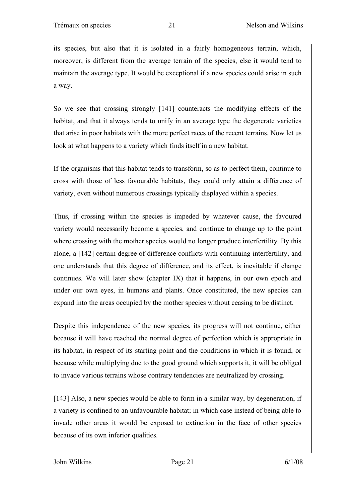its species, but also that it is isolated in a fairly homogeneous terrain, which, moreover, is different from the average terrain of the species, else it would tend to maintain the average type. It would be exceptional if a new species could arise in such a way.

So we see that crossing strongly [141] counteracts the modifying effects of the habitat, and that it always tends to unify in an average type the degenerate varieties that arise in poor habitats with the more perfect races of the recent terrains. Now let us look at what happens to a variety which finds itself in a new habitat.

If the organisms that this habitat tends to transform, so as to perfect them, continue to cross with those of less favourable habitats, they could only attain a difference of variety, even without numerous crossings typically displayed within a species.

Thus, if crossing within the species is impeded by whatever cause, the favoured variety would necessarily become a species, and continue to change up to the point where crossing with the mother species would no longer produce interfertility. By this alone, a [142] certain degree of difference conflicts with continuing interfertility, and one understands that this degree of difference, and its effect, is inevitable if change continues. We will later show (chapter IX) that it happens, in our own epoch and under our own eyes, in humans and plants. Once constituted, the new species can expand into the areas occupied by the mother species without ceasing to be distinct.

Despite this independence of the new species, its progress will not continue, either because it will have reached the normal degree of perfection which is appropriate in its habitat, in respect of its starting point and the conditions in which it is found, or because while multiplying due to the good ground which supports it, it will be obliged to invade various terrains whose contrary tendencies are neutralized by crossing.

[143] Also, a new species would be able to form in a similar way, by degeneration, if a variety is confined to an unfavourable habitat; in which case instead of being able to invade other areas it would be exposed to extinction in the face of other species because of its own inferior qualities.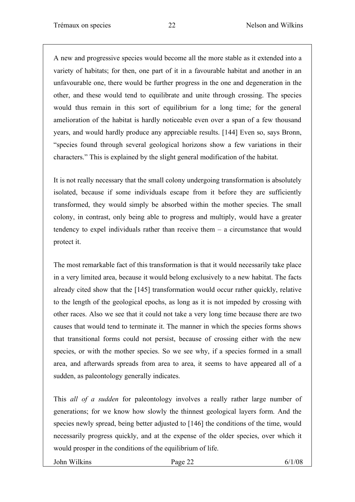A new and progressive species would become all the more stable as it extended into a variety of habitats; for then, one part of it in a favourable habitat and another in an unfavourable one, there would be further progress in the one and degeneration in the other, and these would tend to equilibrate and unite through crossing. The species would thus remain in this sort of equilibrium for a long time; for the general amelioration of the habitat is hardly noticeable even over a span of a few thousand years, and would hardly produce any appreciable results. [144] Even so, says Bronn, "species found through several geological horizons show a few variations in their characters." This is explained by the slight general modification of the habitat.

It is not really necessary that the small colony undergoing transformation is absolutely isolated, because if some individuals escape from it before they are sufficiently transformed, they would simply be absorbed within the mother species. The small colony, in contrast, only being able to progress and multiply, would have a greater tendency to expel individuals rather than receive them – a circumstance that would protect it.

The most remarkable fact of this transformation is that it would necessarily take place in a very limited area, because it would belong exclusively to a new habitat. The facts already cited show that the [145] transformation would occur rather quickly, relative to the length of the geological epochs, as long as it is not impeded by crossing with other races. Also we see that it could not take a very long time because there are two causes that would tend to terminate it. The manner in which the species forms shows that transitional forms could not persist, because of crossing either with the new species, or with the mother species. So we see why, if a species formed in a small area, and afterwards spreads from area to area, it seems to have appeared all of a sudden, as paleontology generally indicates.

This *all of a sudden* for paleontology involves a really rather large number of generations; for we know how slowly the thinnest geological layers form. And the species newly spread, being better adjusted to [146] the conditions of the time, would necessarily progress quickly, and at the expense of the older species, over which it would prosper in the conditions of the equilibrium of life.

John Wilkins Page 22 6/1/08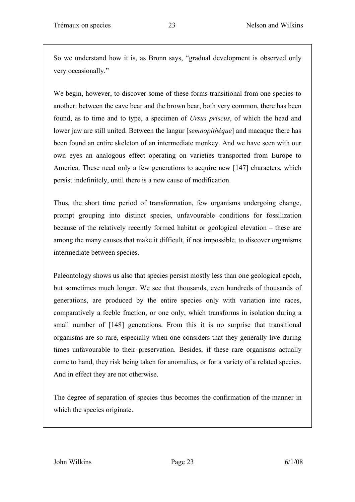So we understand how it is, as Bronn says, "gradual development is observed only very occasionally."

We begin, however, to discover some of these forms transitional from one species to another: between the cave bear and the brown bear, both very common, there has been found, as to time and to type, a specimen of *Ursus priscus*, of which the head and lower jaw are still united. Between the langur [*semnopithèque*] and macaque there has been found an entire skeleton of an intermediate monkey. And we have seen with our own eyes an analogous effect operating on varieties transported from Europe to America. These need only a few generations to acquire new [147] characters, which persist indefinitely, until there is a new cause of modification.

Thus, the short time period of transformation, few organisms undergoing change, prompt grouping into distinct species, unfavourable conditions for fossilization because of the relatively recently formed habitat or geological elevation – these are among the many causes that make it difficult, if not impossible, to discover organisms intermediate between species.

Paleontology shows us also that species persist mostly less than one geological epoch, but sometimes much longer. We see that thousands, even hundreds of thousands of generations, are produced by the entire species only with variation into races, comparatively a feeble fraction, or one only, which transforms in isolation during a small number of [148] generations. From this it is no surprise that transitional organisms are so rare, especially when one considers that they generally live during times unfavourable to their preservation. Besides, if these rare organisms actually come to hand, they risk being taken for anomalies, or for a variety of a related species. And in effect they are not otherwise.

The degree of separation of species thus becomes the confirmation of the manner in which the species originate.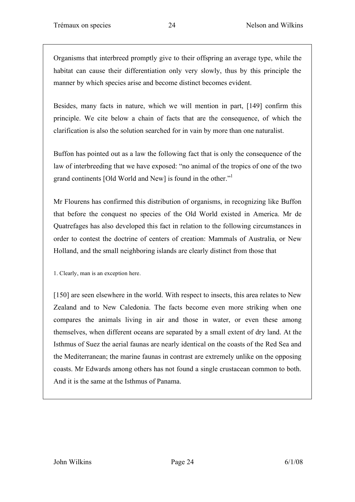Organisms that interbreed promptly give to their offspring an average type, while the habitat can cause their differentiation only very slowly, thus by this principle the manner by which species arise and become distinct becomes evident.

Besides, many facts in nature, which we will mention in part, [149] confirm this principle. We cite below a chain of facts that are the consequence, of which the clarification is also the solution searched for in vain by more than one naturalist.

Buffon has pointed out as a law the following fact that is only the consequence of the law of interbreeding that we have exposed: "no animal of the tropics of one of the two grand continents [Old World and New] is found in the other."

Mr Flourens has confirmed this distribution of organisms, in recognizing like Buffon that before the conquest no species of the Old World existed in America. Mr de Quatrefages has also developed this fact in relation to the following circumstances in order to contest the doctrine of centers of creation: Mammals of Australia, or New Holland, and the small neighboring islands are clearly distinct from those that

1. Clearly, man is an exception here.

[150] are seen elsewhere in the world. With respect to insects, this area relates to New Zealand and to New Caledonia. The facts become even more striking when one compares the animals living in air and those in water, or even these among themselves, when different oceans are separated by a small extent of dry land. At the Isthmus of Suez the aerial faunas are nearly identical on the coasts of the Red Sea and the Mediterranean; the marine faunas in contrast are extremely unlike on the opposing coasts. Mr Edwards among others has not found a single crustacean common to both. And it is the same at the Isthmus of Panama.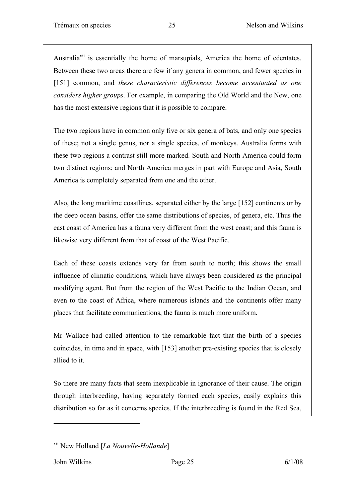Australia<sup>xii</sup> is essentially the home of marsupials. America the home of edentates. Between these two areas there are few if any genera in common, and fewer species in [151] common, and *these characteristic differences become accentuated as one considers higher groups*. For example, in comparing the Old World and the New, one has the most extensive regions that it is possible to compare.

The two regions have in common only five or six genera of bats, and only one species of these; not a single genus, nor a single species, of monkeys. Australia forms with these two regions a contrast still more marked. South and North America could form two distinct regions; and North America merges in part with Europe and Asia, South America is completely separated from one and the other.

Also, the long maritime coastlines, separated either by the large [152] continents or by the deep ocean basins, offer the same distributions of species, of genera, etc. Thus the east coast of America has a fauna very different from the west coast; and this fauna is likewise very different from that of coast of the West Pacific.

Each of these coasts extends very far from south to north; this shows the small influence of climatic conditions, which have always been considered as the principal modifying agent. But from the region of the West Pacific to the Indian Ocean, and even to the coast of Africa, where numerous islands and the continents offer many places that facilitate communications, the fauna is much more uniform.

Mr Wallace had called attention to the remarkable fact that the birth of a species coincides, in time and in space, with [153] another pre-existing species that is closely allied to it.

So there are many facts that seem inexplicable in ignorance of their cause. The origin through interbreeding, having separately formed each species, easily explains this distribution so far as it concerns species. If the interbreeding is found in the Red Sea,

John Wilkins Page 25 6/1/08

xii New Holland [*La Nouvelle-Hollande*]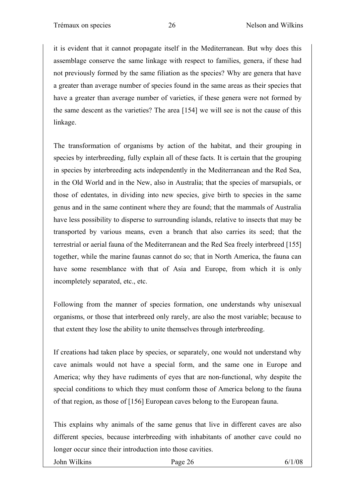it is evident that it cannot propagate itself in the Mediterranean. But why does this assemblage conserve the same linkage with respect to families, genera, if these had not previously formed by the same filiation as the species? Why are genera that have a greater than average number of species found in the same areas as their species that have a greater than average number of varieties, if these genera were not formed by the same descent as the varieties? The area [154] we will see is not the cause of this linkage.

The transformation of organisms by action of the habitat, and their grouping in species by interbreeding, fully explain all of these facts. It is certain that the grouping in species by interbreeding acts independently in the Mediterranean and the Red Sea, in the Old World and in the New, also in Australia; that the species of marsupials, or those of edentates, in dividing into new species, give birth to species in the same genus and in the same continent where they are found; that the mammals of Australia have less possibility to disperse to surrounding islands, relative to insects that may be transported by various means, even a branch that also carries its seed; that the terrestrial or aerial fauna of the Mediterranean and the Red Sea freely interbreed [155] together, while the marine faunas cannot do so; that in North America, the fauna can have some resemblance with that of Asia and Europe, from which it is only incompletely separated, etc., etc.

Following from the manner of species formation, one understands why unisexual organisms, or those that interbreed only rarely, are also the most variable; because to that extent they lose the ability to unite themselves through interbreeding.

If creations had taken place by species, or separately, one would not understand why cave animals would not have a special form, and the same one in Europe and America; why they have rudiments of eyes that are non-functional, why despite the special conditions to which they must conform those of America belong to the fauna of that region, as those of [156] European caves belong to the European fauna.

This explains why animals of the same genus that live in different caves are also different species, because interbreeding with inhabitants of another cave could no longer occur since their introduction into those cavities.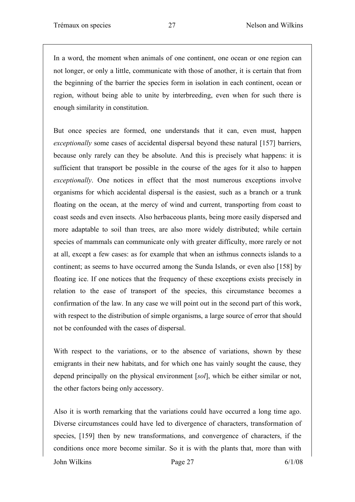In a word, the moment when animals of one continent, one ocean or one region can not longer, or only a little, communicate with those of another, it is certain that from the beginning of the barrier the species form in isolation in each continent, ocean or region, without being able to unite by interbreeding, even when for such there is enough similarity in constitution.

But once species are formed, one understands that it can, even must, happen *exceptionally* some cases of accidental dispersal beyond these natural [157] barriers, because only rarely can they be absolute. And this is precisely what happens: it is sufficient that transport be possible in the course of the ages for it also to happen *exceptionally*. One notices in effect that the most numerous exceptions involve organisms for which accidental dispersal is the easiest, such as a branch or a trunk floating on the ocean, at the mercy of wind and current, transporting from coast to coast seeds and even insects. Also herbaceous plants, being more easily dispersed and more adaptable to soil than trees, are also more widely distributed; while certain species of mammals can communicate only with greater difficulty, more rarely or not at all, except a few cases: as for example that when an isthmus connects islands to a continent; as seems to have occurred among the Sunda Islands, or even also [158] by floating ice. If one notices that the frequency of these exceptions exists precisely in relation to the ease of transport of the species, this circumstance becomes a confirmation of the law. In any case we will point out in the second part of this work, with respect to the distribution of simple organisms, a large source of error that should not be confounded with the cases of dispersal.

With respect to the variations, or to the absence of variations, shown by these emigrants in their new habitats, and for which one has vainly sought the cause, they depend principally on the physical environment [*sol*], which be either similar or not, the other factors being only accessory.

Also it is worth remarking that the variations could have occurred a long time ago. Diverse circumstances could have led to divergence of characters, transformation of species, [159] then by new transformations, and convergence of characters, if the conditions once more become similar. So it is with the plants that, more than with

John Wilkins Page 27 6/1/08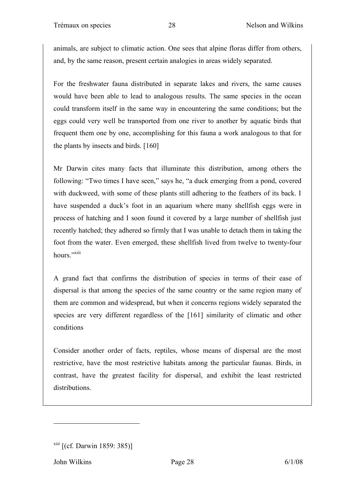animals, are subject to climatic action. One sees that alpine floras differ from others, and, by the same reason, present certain analogies in areas widely separated.

For the freshwater fauna distributed in separate lakes and rivers, the same causes would have been able to lead to analogous results. The same species in the ocean could transform itself in the same way in encountering the same conditions; but the eggs could very well be transported from one river to another by aquatic birds that frequent them one by one, accomplishing for this fauna a work analogous to that for the plants by insects and birds. [160]

Mr Darwin cites many facts that illuminate this distribution, among others the following: "Two times I have seen," says he, "a duck emerging from a pond, covered with duckweed, with some of these plants still adhering to the feathers of its back. I have suspended a duck's foot in an aquarium where many shellfish eggs were in process of hatching and I soon found it covered by a large number of shellfish just recently hatched; they adhered so firmly that I was unable to detach them in taking the foot from the water. Even emerged, these shellfish lived from twelve to twenty-four hours."xiii

A grand fact that confirms the distribution of species in terms of their ease of dispersal is that among the species of the same country or the same region many of them are common and widespread, but when it concerns regions widely separated the species are very different regardless of the [161] similarity of climatic and other conditions

Consider another order of facts, reptiles, whose means of dispersal are the most restrictive, have the most restrictive habitats among the particular faunas. Birds, in contrast, have the greatest facility for dispersal, and exhibit the least restricted distributions.

John Wilkins Page 28 6/1/08

 $xiii$  [(cf. Darwin 1859: 385)]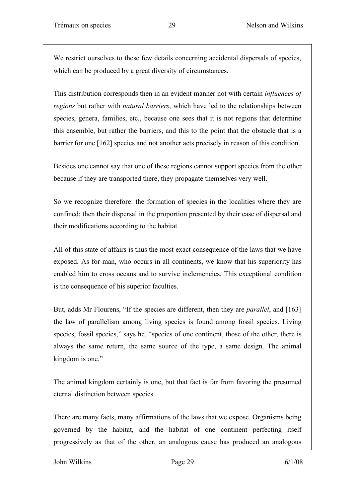We restrict ourselves to these few details concerning accidental dispersals of species, which can be produced by a great diversity of circumstances.

This distribution corresponds then in an evident manner not with certain *influences of regions* but rather with *natural barriers*, which have led to the relationships between species, genera, families, etc., because one sees that it is not regions that determine this ensemble, but rather the barriers, and this to the point that the obstacle that is a barrier for one [162] species and not another acts precisely in reason of this condition.

Besides one cannot say that one of these regions cannot support species from the other because if they are transported there, they propagate themselves very well.

So we recognize therefore: the formation of species in the localities where they are confined; then their dispersal in the proportion presented by their ease of dispersal and their modifications according to the habitat.

All of this state of affairs is thus the most exact consequence of the laws that we have exposed. As for man, who occurs in all continents, we know that his superiority has enabled him to cross oceans and to survive inclemencies. This exceptional condition is the consequence of his superior faculties.

But, adds Mr Flourens, "If the species are different, then they are *parallel*, and [163] the law of parallelism among living species is found among fossil species. Living species, fossil species," says he, "species of one continent, those of the other, there is always the same return, the same source of the type, a same design. The animal kingdom is one."

The animal kingdom certainly is one, but that fact is far from favoring the presumed eternal distinction between species.

There are many facts, many affirmations of the laws that we expose. Organisms being governed by the habitat, and the habitat of one continent perfecting itself progressively as that of the other, an analogous cause has produced an analogous

John Wilkins Page 29 6/1/08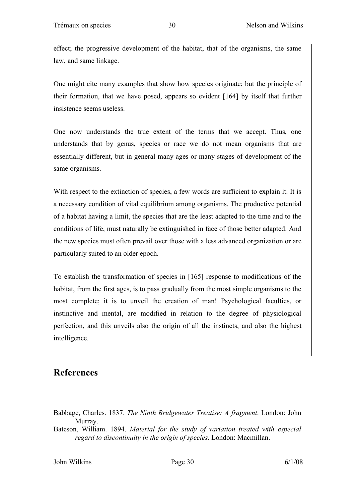effect; the progressive development of the habitat, that of the organisms, the same law, and same linkage.

One might cite many examples that show how species originate; but the principle of their formation, that we have posed, appears so evident [164] by itself that further insistence seems useless.

One now understands the true extent of the terms that we accept. Thus, one understands that by genus, species or race we do not mean organisms that are essentially different, but in general many ages or many stages of development of the same organisms.

With respect to the extinction of species, a few words are sufficient to explain it. It is a necessary condition of vital equilibrium among organisms. The productive potential of a habitat having a limit, the species that are the least adapted to the time and to the conditions of life, must naturally be extinguished in face of those better adapted. And the new species must often prevail over those with a less advanced organization or are particularly suited to an older epoch.

To establish the transformation of species in [165] response to modifications of the habitat, from the first ages, is to pass gradually from the most simple organisms to the most complete; it is to unveil the creation of man! Psychological faculties, or instinctive and mental, are modified in relation to the degree of physiological perfection, and this unveils also the origin of all the instincts, and also the highest intelligence.

### **References**

Babbage, Charles. 1837. *The Ninth Bridgewater Treatise: A fragment*. London: John Murray.

Bateson, William. 1894. *Material for the study of variation treated with especial regard to discontinuity in the origin of species*. London: Macmillan.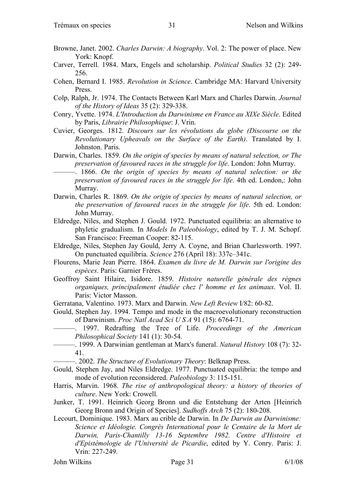- Browne, Janet. 2002. *Charles Darwin: A biography*. Vol. 2: The power of place. New York: Knopf.
- Carver, Terrell. 1984. Marx, Engels and scholarship. *Political Studies* 32 (2): 249- 256.
- Cohen, Bernard I. 1985. *Revolution in Science*. Cambridge MA: Harvard University Press.
- Colp, Ralph, Jr. 1974. The Contacts Between Karl Marx and Charles Darwin. *Journal of the History of Ideas* 35 (2): 329-338.
- Conry, Yvette. 1974. *L'Introduction du Darwinisme en France au XIXe Siècle*. Edited by Paris, *Librairie Philosophique*: J. Vrin.
- Cuvier, Georges. 1812. *Discours sur les révolutions du globe (Discourse on the Revolutionary Upheavals on the Surface of the Earth)*. Translated by I. Johnston. Paris.
- Darwin, Charles. 1859. *On the origin of species by means of natural selection, or The preservation of favoured races in the struggle for life*. London: John Murray.
- ———. 1866. *On the origin of species by means of natural selection: or the preservation of favoured races in the struggle for life*. 4th ed. London,: John Murray.
- Darwin, Charles R. 1869. *On the origin of species by means of natural selection, or the preservation of favoured races in the struggle for life*. 5th ed. London: John Murray.
- Eldredge, Niles, and Stephen J. Gould. 1972. Punctuated equilibria: an alternative to phyletic gradualism. In *Models In Paleobiology*, edited by T. J. M. Schopf. San Francisco: Freeman Cooper: 82-115.
- Eldredge, Niles, Stephen Jay Gould, Jerry A. Coyne, and Brian Charlesworth. 1997. On punctuated equilibria. *Science* 276 (April 18): 337c–341c.
- Flourens, Marie Jean Pierre. 1864. *Examen du livre de M. Darwin sur l'origine des espèces*. Paris: Garnier Frères.
- Geoffroy Saint Hilaire, Isidore. 1859. *Histoire naturelle générale des règnes organiques, principalement étudiée chez l' homme et les animaux*. Vol. II. Paris: Victor Masson.
- Gerratana, Valentino. 1973. Marx and Darwin. *New Left Review* I/82: 60-82.
- Gould, Stephen Jay. 1994. Tempo and mode in the macroevolutionary reconstruction of Darwinism. *Proc Natl Acad Sci U S A* 91 (15): 6764-71.
	- ———. 1997. Redrafting the Tree of Life. *Proceedings of the American Philosophical Society* 141 (1): 30-54.
	- ———. 1999. A Darwinian gentleman at Marx's funeral. *Natural History* 108 (7): 32- 41.
		- ———. 2002. *The Structure of Evolutionary Theory*: Belknap Press.
- Gould, Stephen Jay, and Niles Eldredge. 1977. Punctuated equilibria: the tempo and mode of evolution reconsidered. *Paleobiology* 3: 115-151.
- Harris, Marvin. 1968. *The rise of anthropological theory: a history of theories of culture*. New York: Crowell.
- Junker, T. 1991. Heinrich Georg Bronn und die Entstehung der Arten [Heinrich Georg Bronn and Origin of Species]. *Sudhoffs Arch* 75 (2): 180-208.
- Lecourt, Dominique. 1983. Marx au crible de Darwin. In *De Darwin au Darwinisme: Science et Idéologie. Congrès International pour le Centaire de la Mort de Darwin, Paris-Chantilly 13-16 Septembre 1982. Centre d'Histoire et d'Epistémologie de l'Université de Picardie*, edited by Y. Conry. Paris: J. Vrin: 227-249.

John Wilkins Page 31 6/1/08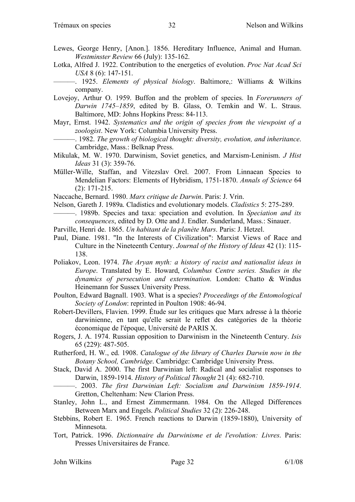- Lewes, George Henry, [Anon.]. 1856. Hereditary Influence, Animal and Human. *Westminster Review* 66 (July): 135-162.
- Lotka, Alfred J. 1922. Contribution to the energetics of evolution. *Proc Nat Acad Sci USA* 8 (6): 147-151.
	- ———. 1925. *Elements of physical biology*. Baltimore,: Williams & Wilkins company.
- Lovejoy, Arthur O. 1959. Buffon and the problem of species. In *Forerunners of Darwin 1745–1859*, edited by B. Glass, O. Temkin and W. L. Straus. Baltimore, MD: Johns Hopkins Press: 84-113.
- Mayr, Ernst. 1942. *Systematics and the origin of species from the viewpoint of a zoologist*. New York: Columbia University Press.

———. 1982. *The growth of biological thought: diversity, evolution, and inheritance*. Cambridge, Mass.: Belknap Press.

- Mikulak, M. W. 1970. Darwinism, Soviet genetics, and Marxism-Leninism. *J Hist Ideas* 31 (3): 359-76.
- Müller-Wille, Staffan, and Vitezslav Orel. 2007. From Linnaean Species to Mendelian Factors: Elements of Hybridism, 1751-1870. *Annals of Science* 64 (2): 171-215.

Naccache, Bernard. 1980. *Marx critique de Darwin*. Paris: J. Vrin.

- Nelson, Gareth J. 1989a. Cladistics and evolutionary models. *Cladistics* 5: 275-289.
- ———. 1989b. Species and taxa: speciation and evolution. In *Speciation and its consequences*, edited by D. Otte and J. Endler. Sunderland, Mass.: Sinauer.
- Parville, Henri de. 1865. *Un habitant de la planète Mars*. Paris: J. Hetzel.
- Paul, Diane. 1981. "In the Interests of Civilization": Marxist Views of Race and Culture in the Nineteenth Century. *Journal of the History of Ideas* 42 (1): 115- 138.
- Poliakov, Leon. 1974. *The Aryan myth: a history of racist and nationalist ideas in Europe*. Translated by E. Howard, *Columbus Centre series. Studies in the dynamics of persecution and extermination*. London: Chatto & Windus Heinemann for Sussex University Press.
- Poulton, Edward Bagnall. 1903. What is a species? *Proceedings of the Entomological Society of London*: reprinted in Poulton 1908: 46-94.
- Robert-Devillers, Flavien. 1999. Étude sur les critiques que Marx adresse à la théorie darwinienne, en tant qu'elle serait le reflet des catégories de la théorie économique de l'époque, Université de PARIS X.
- Rogers, J. A. 1974. Russian opposition to Darwinism in the Nineteenth Century. *Isis* 65 (229): 487-505.
- Rutherford, H. W., ed. 1908. *Catalogue of the library of Charles Darwin now in the Botany School, Cambridge*. Cambridge: Cambridge University Press.
- Stack, David A. 2000. The first Darwinian left: Radical and socialist responses to Darwin, 1859-1914. *History of Political Thought* 21 (4): 682-710.
	- ———. 2003. *The first Darwinian Left: Socialism and Darwinism 1859-1914*. Gretton, Cheltenham: New Clarion Press.
- Stanley, John L., and Ernest Zimmermann. 1984. On the Alleged Differences Between Marx and Engels. *Political Studies* 32 (2): 226-248.
- Stebbins, Robert E. 1965. French reactions to Darwin (1859-1880), University of Minnesota.
- Tort, Patrick. 1996. *Dictionnaire du Darwinisme et de l'evolution: Livres*. Paris: Presses Universitaires de France.

John Wilkins Page 32 6/1/08